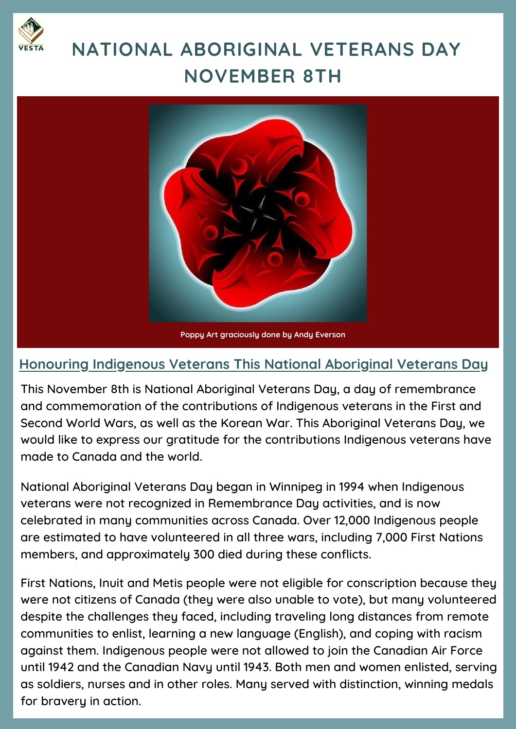

## **NATIONAL ABORIGINAL VETERANS DAY NOVEMBER 8TH**



## **Honouring Indigenous Veterans This National Aboriginal Veterans Day**

This November 8th is National Aboriginal Veterans Day, a day of remembrance and commemoration of the contributions of Indigenous veterans in the First and Second World Wars, as well as the Korean War. This Aboriginal Veterans Day, we would like to express our gratitude for the contributions Indigenous veterans have made to Canada and the world.

National Aboriginal Veterans Day began in Winnipeg in 1994 when Indigenous veterans were not recognized in Remembrance Day activities, and is now celebrated in many communities across Canada. Over 12,000 Indigenous people are estimated to have volunteered in all three wars, including 7,000 First Nations members, and approximately 300 died during these conflicts.

First Nations, Inuit and Metis people were not eligible for conscription because they were not citizens of Canada (they were also unable to vote), but many volunteered despite the challenges they faced, including traveling long distances from remote communities to enlist, learning a new language (English), and coping with racism against them. Indigenous people were not allowed to join the Canadian Air Force until 1942 and the Canadian Navy until 1943. Both men and women enlisted, serving as soldiers, nurses and in other roles. Many served with distinction, winning medals for bravery in action.